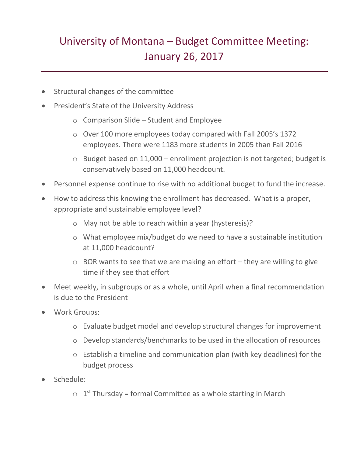## University of Montana – Budget Committee Meeting: January 26, 2017

- Structural changes of the committee
- President's State of the University Address
	- o Comparison Slide Student and Employee
	- o Over 100 more employees today compared with Fall 2005's 1372 employees. There were 1183 more students in 2005 than Fall 2016
	- o Budget based on 11,000 enrollment projection is not targeted; budget is conservatively based on 11,000 headcount.
- Personnel expense continue to rise with no additional budget to fund the increase.
- How to address this knowing the enrollment has decreased. What is a proper, appropriate and sustainable employee level?
	- o May not be able to reach within a year (hysteresis)?
	- o What employee mix/budget do we need to have a sustainable institution at 11,000 headcount?
	- $\circ$  BOR wants to see that we are making an effort they are willing to give time if they see that effort
- Meet weekly, in subgroups or as a whole, until April when a final recommendation is due to the President
- Work Groups:
	- o Evaluate budget model and develop structural changes for improvement
	- o Develop standards/benchmarks to be used in the allocation of resources
	- o Establish a timeline and communication plan (with key deadlines) for the budget process
- Schedule:
	- $\circ$  1<sup>st</sup> Thursday = formal Committee as a whole starting in March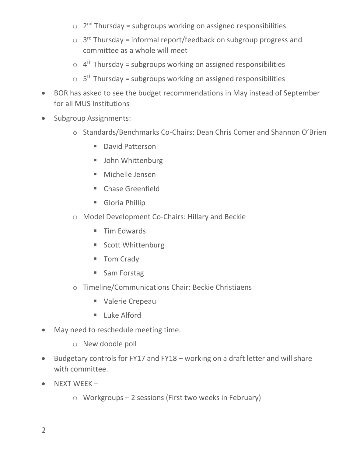- $\circ$  2<sup>nd</sup> Thursday = subgroups working on assigned responsibilities
- $\circ$  3<sup>rd</sup> Thursday = informal report/feedback on subgroup progress and committee as a whole will meet
- $\circ$  4<sup>th</sup> Thursday = subgroups working on assigned responsibilities
- $\circ$  5<sup>th</sup> Thursday = subgroups working on assigned responsibilities
- BOR has asked to see the budget recommendations in May instead of September for all MUS Institutions
- Subgroup Assignments:
	- o Standards/Benchmarks Co-Chairs: Dean Chris Comer and Shannon O'Brien
		- **David Patterson**
		- **John Whittenburg**
		- Michelle Jensen
		- **E** Chase Greenfield
		- Gloria Phillip
	- o Model Development Co-Chairs: Hillary and Beckie
		- **Tim Edwards**
		- **Scott Whittenburg**
		- Tom Crady
		- Sam Forstag
	- o Timeline/Communications Chair: Beckie Christiaens
		- Valerie Crepeau
		- $\blacksquare$  Luke Alford
- May need to reschedule meeting time.
	- o New doodle poll
- Budgetary controls for FY17 and FY18 working on a draft letter and will share with committee.
- $\bullet$  NEXT WEEK
	- o Workgroups 2 sessions (First two weeks in February)